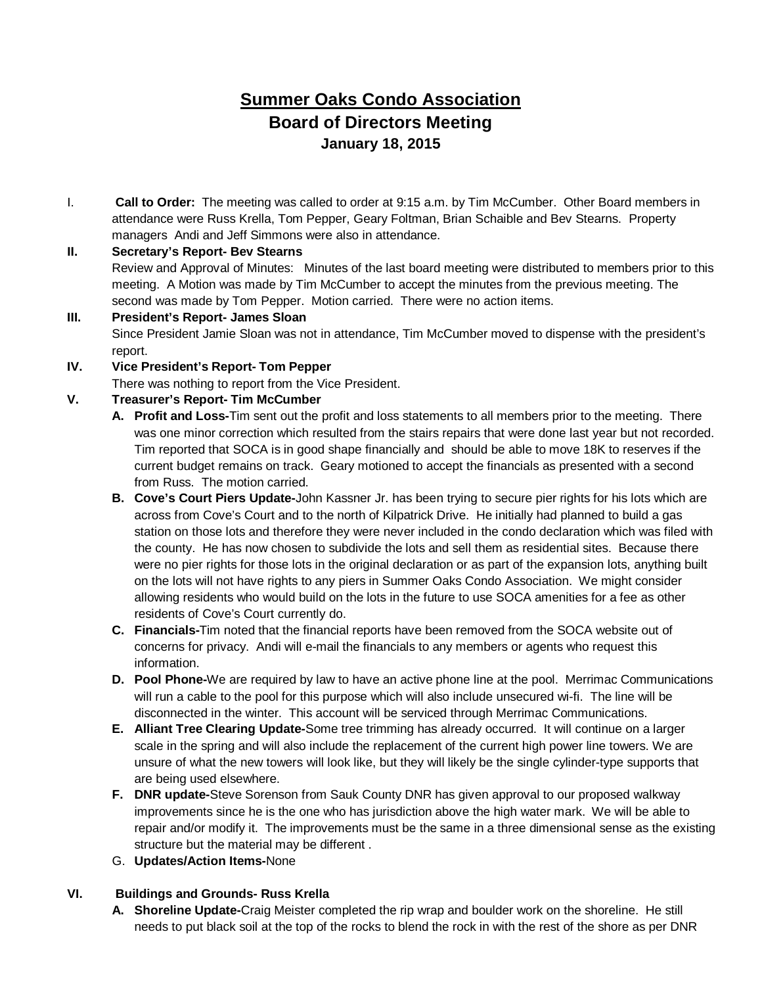# **Summer Oaks Condo Association Board of Directors Meeting January 18, 2015**

I. **Call to Order:** The meeting was called to order at 9:15 a.m. by Tim McCumber. Other Board members in attendance were Russ Krella, Tom Pepper, Geary Foltman, Brian Schaible and Bev Stearns. Property managers Andi and Jeff Simmons were also in attendance.

#### **II. Secretary's Report- Bev Stearns**

Review and Approval of Minutes: Minutes of the last board meeting were distributed to members prior to this meeting. A Motion was made by Tim McCumber to accept the minutes from the previous meeting. The second was made by Tom Pepper. Motion carried. There were no action items.

## **III. President's Report- James Sloan** Since President Jamie Sloan was not in attendance, Tim McCumber moved to dispense with the president's report.

#### **IV. Vice President's Report- Tom Pepper**

There was nothing to report from the Vice President.

## **V. Treasurer's Report- Tim McCumber**

- **A. Profit and Loss-**Tim sent out the profit and loss statements to all members prior to the meeting. There was one minor correction which resulted from the stairs repairs that were done last year but not recorded. Tim reported that SOCA is in good shape financially and should be able to move 18K to reserves if the current budget remains on track. Geary motioned to accept the financials as presented with a second from Russ. The motion carried.
- **B. Cove's Court Piers Update-**John Kassner Jr. has been trying to secure pier rights for his lots which are across from Cove's Court and to the north of Kilpatrick Drive. He initially had planned to build a gas station on those lots and therefore they were never included in the condo declaration which was filed with the county. He has now chosen to subdivide the lots and sell them as residential sites. Because there were no pier rights for those lots in the original declaration or as part of the expansion lots, anything built on the lots will not have rights to any piers in Summer Oaks Condo Association. We might consider allowing residents who would build on the lots in the future to use SOCA amenities for a fee as other residents of Cove's Court currently do.
- **C. Financials-**Tim noted that the financial reports have been removed from the SOCA website out of concerns for privacy. Andi will e-mail the financials to any members or agents who request this information.
- **D. Pool Phone-**We are required by law to have an active phone line at the pool. Merrimac Communications will run a cable to the pool for this purpose which will also include unsecured wi-fi. The line will be disconnected in the winter. This account will be serviced through Merrimac Communications.
- **E. Alliant Tree Clearing Update-**Some tree trimming has already occurred. It will continue on a larger scale in the spring and will also include the replacement of the current high power line towers. We are unsure of what the new towers will look like, but they will likely be the single cylinder-type supports that are being used elsewhere.
- **F. DNR update-**Steve Sorenson from Sauk County DNR has given approval to our proposed walkway improvements since he is the one who has jurisdiction above the high water mark. We will be able to repair and/or modify it. The improvements must be the same in a three dimensional sense as the existing structure but the material may be different .
- G. **Updates/Action Items-**None

## **VI. Buildings and Grounds- Russ Krella**

**A. Shoreline Update-**Craig Meister completed the rip wrap and boulder work on the shoreline. He still needs to put black soil at the top of the rocks to blend the rock in with the rest of the shore as per DNR